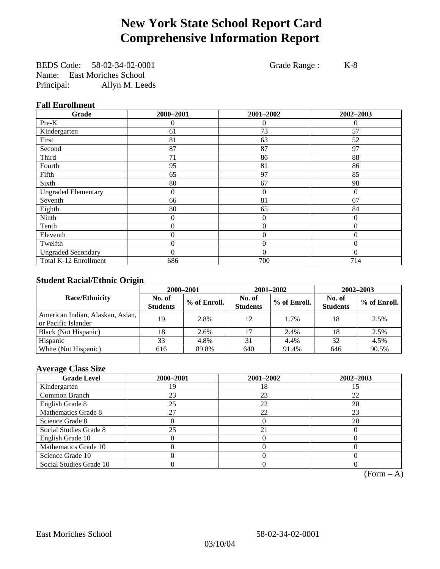# **New York State School Report Card Comprehensive Information Report**

BEDS Code: 58-02-34-02-0001 Grade Range : K-8 Name: East Moriches School Principal: Allyn M. Leeds

### **Fall Enrollment**

| Grade                      | 2000-2001      | 2001-2002        | 2002-2003 |
|----------------------------|----------------|------------------|-----------|
| Pre-K                      | $\theta$       | 0                | $\theta$  |
| Kindergarten               | 61             | 73               | 57        |
| First                      | 81             | 63               | 52        |
| Second                     | 87             | 87               | 97        |
| Third                      | 71             | 86               | 88        |
| Fourth                     | 95             | 81               | 86        |
| Fifth                      | 65             | 97               | 85        |
| Sixth                      | 80             | 67               | 98        |
| <b>Ungraded Elementary</b> | $\overline{0}$ | $\theta$         | $\theta$  |
| Seventh                    | 66             | 81               | 67        |
| Eighth                     | 80             | 65               | 84        |
| Ninth                      | 0              | $\theta$         | $\theta$  |
| Tenth                      | 0              | $\boldsymbol{0}$ | $\theta$  |
| Eleventh                   | 0              | $\overline{0}$   | $\theta$  |
| Twelfth                    | 0              | $\overline{0}$   | $\Omega$  |
| <b>Ungraded Secondary</b>  | $\theta$       | $\theta$         | $\Omega$  |
| Total K-12 Enrollment      | 686            | 700              | 714       |

### **Student Racial/Ethnic Origin**

|                                                         | 2000-2001                 |              |                           | 2001-2002    | $2002 - 2003$             |                |
|---------------------------------------------------------|---------------------------|--------------|---------------------------|--------------|---------------------------|----------------|
| <b>Race/Ethnicity</b>                                   | No. of<br><b>Students</b> | % of Enroll. | No. of<br><b>Students</b> | % of Enroll. | No. of<br><b>Students</b> | $%$ of Enroll. |
| American Indian, Alaskan, Asian,<br>or Pacific Islander | 19                        | 2.8%         | 12                        | 1.7%         | 18                        | 2.5%           |
| Black (Not Hispanic)                                    | 18                        | 2.6%         |                           | 2.4%         | 18                        | 2.5%           |
| Hispanic                                                | 33                        | 4.8%         | 31                        | 4.4%         | 32                        | 4.5%           |
| White (Not Hispanic)                                    | 616                       | 89.8%        | 640                       | 91.4%        | 646                       | 90.5%          |

### **Average Class Size**

| <b>Grade Level</b>      | 2000-2001 | 2001-2002 | 2002-2003 |
|-------------------------|-----------|-----------|-----------|
| Kindergarten            | 9         | 18        |           |
| Common Branch           | 23        | 23        | 22        |
| English Grade 8         | 25        | 22        | 20        |
| Mathematics Grade 8     | 27        | 22        | 23        |
| Science Grade 8         |           |           | 20        |
| Social Studies Grade 8  | 25        | 21        |           |
| English Grade 10        |           |           |           |
| Mathematics Grade 10    |           |           |           |
| Science Grade 10        |           |           |           |
| Social Studies Grade 10 |           |           |           |

 $(Form – A)$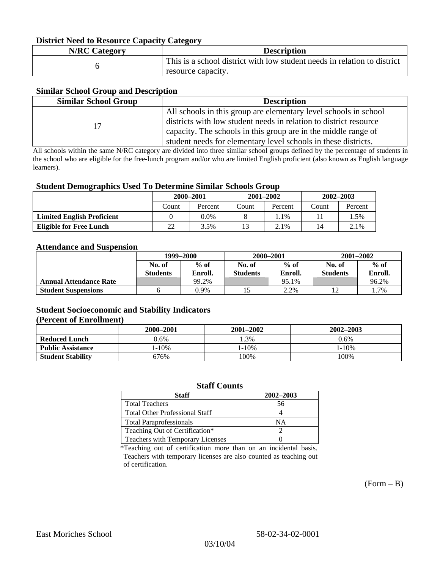### **District Need to Resource Capacity Category**

| <b>N/RC Category</b> | <b>Description</b>                                                                             |
|----------------------|------------------------------------------------------------------------------------------------|
|                      | This is a school district with low student needs in relation to district<br>resource capacity. |

### **Similar School Group and Description**

| <b>Similar School Group</b> | <b>Description</b>                                                |
|-----------------------------|-------------------------------------------------------------------|
|                             | All schools in this group are elementary level schools in school  |
| 17                          | districts with low student needs in relation to district resource |
|                             | capacity. The schools in this group are in the middle range of    |
|                             | student needs for elementary level schools in these districts.    |

All schools within the same N/RC category are divided into three similar school groups defined by the percentage of students in the school who are eligible for the free-lunch program and/or who are limited English proficient (also known as English language learners).

#### **Student Demographics Used To Determine Similar Schools Group**

| . .                               | 2000-2001 |         | $2001 - 2002$ |         | $2002 - 2003$ |         |
|-----------------------------------|-----------|---------|---------------|---------|---------------|---------|
|                                   | Count     | Percent | Count         | Percent | Count         | Percent |
| <b>Limited English Proficient</b> |           | 0.0%    |               | 1.1%    |               | 1.5%    |
| <b>Eligible for Free Lunch</b>    | 22        | 3.5%    |               | 2.1%    | 14            | 2.1%    |

#### **Attendance and Suspension**

|                               | 1999–2000        |         | 2000-2001        |         | $2001 - 2002$   |         |
|-------------------------------|------------------|---------|------------------|---------|-----------------|---------|
|                               | $%$ of<br>No. of |         | $%$ of<br>No. of |         | No. of          | $%$ of  |
|                               | <b>Students</b>  | Enroll. | <b>Students</b>  | Enroll. | <b>Students</b> | Enroll. |
| <b>Annual Attendance Rate</b> |                  | 99.2%   |                  | 95.1%   |                 | 96.2%   |
| <b>Student Suspensions</b>    |                  | 0.9%    |                  | 2.2%    |                 | 1.7%    |

### **Student Socioeconomic and Stability Indicators (Percent of Enrollment)**

|                          | $2001 - 2002$<br>2000-2001 |            | $2002 - 2003$ |
|--------------------------|----------------------------|------------|---------------|
| <b>Reduced Lunch</b>     | 0.6%                       | .3%        | 0.6%          |
| <b>Public Assistance</b> | l-10%                      | $1 - 10\%$ | $1 - 10\%$    |
| <b>Student Stability</b> | 676%                       | 100%       | 100%          |

#### **Staff Counts**

| Staff                                 | 2002-2003 |
|---------------------------------------|-----------|
| <b>Total Teachers</b>                 | 56        |
| <b>Total Other Professional Staff</b> |           |
| <b>Total Paraprofessionals</b>        | NΑ        |
| Teaching Out of Certification*        |           |
| Teachers with Temporary Licenses      |           |

\*Teaching out of certification more than on an incidental basis. Teachers with temporary licenses are also counted as teaching out of certification.

 $(Form - B)$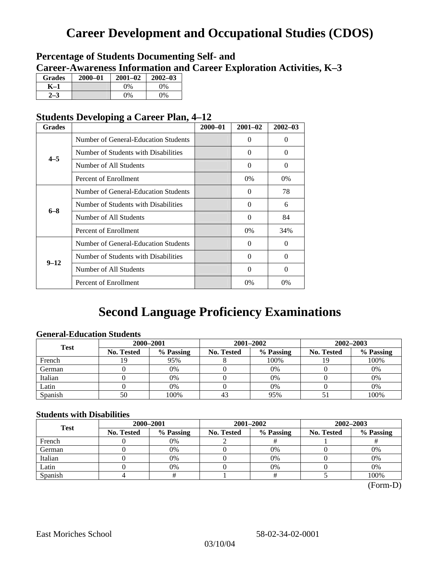# **Career Development and Occupational Studies (CDOS)**

### **Percentage of Students Documenting Self- and Career-Awareness Information and Career Exploration Activities, K–3**

| <b>Grades</b> | 2000-01 | $2001 - 02$ | $2002 - 03$ |
|---------------|---------|-------------|-------------|
| K–1           |         | $0\%$       | $0\%$       |
|               |         | $0\%$       | 9%          |

### **Students Developing a Career Plan, 4–12**

| <b>Grades</b> |                                      | $2000 - 01$ | $2001 - 02$ | $2002 - 03$ |
|---------------|--------------------------------------|-------------|-------------|-------------|
|               | Number of General-Education Students |             | 0           | $\Omega$    |
| $4 - 5$       | Number of Students with Disabilities |             | 0           | $\Omega$    |
|               | Number of All Students               |             | 0           | $\Omega$    |
|               | Percent of Enrollment                |             | 0%          | 0%          |
|               | Number of General-Education Students |             | 0           | 78          |
|               | Number of Students with Disabilities |             | $\Omega$    | 6           |
| $6 - 8$       | Number of All Students               |             | $\theta$    | 84          |
|               | Percent of Enrollment                |             | $0\%$       | 34%         |
|               | Number of General-Education Students |             | 0           | $\Omega$    |
| $9 - 12$      | Number of Students with Disabilities |             | 0           | $\Omega$    |
|               | Number of All Students               |             | $\Omega$    | $\Omega$    |
|               | Percent of Enrollment                |             | $0\%$       | 0%          |

# **Second Language Proficiency Examinations**

### **General-Education Students**

| <b>Test</b> | 2000-2001         |           |            | 2001-2002 | 2002-2003         |           |
|-------------|-------------------|-----------|------------|-----------|-------------------|-----------|
|             | <b>No. Tested</b> | % Passing | No. Tested | % Passing | <b>No. Tested</b> | % Passing |
| French      |                   | 95%       |            | 100%      |                   | 100%      |
| German      |                   | 0%        |            | $0\%$     |                   | 0%        |
| Italian     |                   | 0%        |            | 0%        |                   | 0%        |
| Latin       |                   | 0%        |            | 0%        |                   | 0%        |
| Spanish     | 50                | 100%      | 43         | 95%       |                   | 100%      |

### **Students with Disabilities**

| <b>Test</b> | 2000-2001  |           |            | 2001-2002 | 2002-2003  |           |  |
|-------------|------------|-----------|------------|-----------|------------|-----------|--|
|             | No. Tested | % Passing | No. Tested | % Passing | No. Tested | % Passing |  |
| French      |            | 0%        |            |           |            |           |  |
| German      |            | 0%        |            | 0%        |            | 0%        |  |
| Italian     |            | 0%        |            | 0%        |            | 0%        |  |
| Latin       |            | 0%        |            | $0\%$     |            | 0%        |  |
| Spanish     |            |           |            |           |            | 100%      |  |

 <sup>(</sup>Form-D)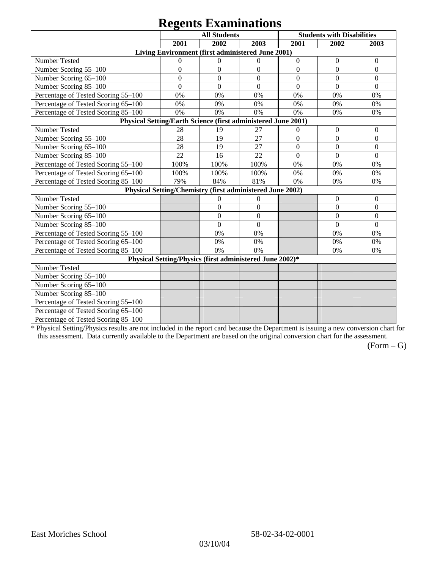# **Regents Examinations**

|                                                               | 8°-<br><b>All Students</b> |                |                                                           | <b>Students with Disabilities</b> |                  |                  |  |  |
|---------------------------------------------------------------|----------------------------|----------------|-----------------------------------------------------------|-----------------------------------|------------------|------------------|--|--|
|                                                               | 2001                       | 2002           | 2003                                                      | 2001                              | 2002             | 2003             |  |  |
|                                                               |                            |                | Living Environment (first administered June 2001)         |                                   |                  |                  |  |  |
| Number Tested                                                 | $\boldsymbol{0}$           | $\theta$       | $\mathbf{0}$                                              | $\boldsymbol{0}$                  | $\boldsymbol{0}$ | $\boldsymbol{0}$ |  |  |
| Number Scoring 55-100                                         | $\overline{0}$             | $\overline{0}$ | $\overline{0}$                                            | $\overline{0}$                    | $\overline{0}$   | $\overline{0}$   |  |  |
| Number Scoring 65-100                                         | $\mathbf{0}$               | $\overline{0}$ | $\mathbf{0}$                                              | $\overline{0}$                    | $\overline{0}$   | $\mathbf{0}$     |  |  |
| Number Scoring 85-100                                         | $\mathbf{0}$               | $\overline{0}$ | $\boldsymbol{0}$                                          | $\boldsymbol{0}$                  | $\boldsymbol{0}$ | $\boldsymbol{0}$ |  |  |
| Percentage of Tested Scoring 55-100                           | 0%                         | 0%             | 0%                                                        | 0%                                | 0%               | 0%               |  |  |
| Percentage of Tested Scoring 65-100                           | 0%                         | 0%             | 0%                                                        | 0%                                | 0%               | 0%               |  |  |
| Percentage of Tested Scoring 85-100                           | 0%                         | 0%             | 0%                                                        | 0%                                | 0%               | 0%               |  |  |
| Physical Setting/Earth Science (first administered June 2001) |                            |                |                                                           |                                   |                  |                  |  |  |
| Number Tested                                                 | 28                         | 19             | 27                                                        | $\boldsymbol{0}$                  | $\boldsymbol{0}$ | $\boldsymbol{0}$ |  |  |
| Number Scoring 55-100                                         | 28                         | 19             | 27                                                        | $\overline{0}$                    | $\overline{0}$   | $\overline{0}$   |  |  |
| Number Scoring 65-100                                         | 28                         | 19             | 27                                                        | $\overline{0}$                    | $\overline{0}$   | $\overline{0}$   |  |  |
| Number Scoring 85-100                                         | 22                         | 16             | 22                                                        | $\mathbf{0}$                      | $\mathbf{0}$     | $\boldsymbol{0}$ |  |  |
| Percentage of Tested Scoring 55-100                           | 100%                       | 100%           | 100%                                                      | 0%                                | 0%               | 0%               |  |  |
| Percentage of Tested Scoring 65-100                           | 100%                       | 100%           | 100%                                                      | 0%                                | 0%               | 0%               |  |  |
| Percentage of Tested Scoring 85-100                           | 79%                        | 84%            | 81%                                                       | 0%                                | 0%               | 0%               |  |  |
|                                                               |                            |                | Physical Setting/Chemistry (first administered June 2002) |                                   |                  |                  |  |  |
| Number Tested                                                 |                            | $\mathbf{0}$   | $\mathbf{0}$                                              |                                   | $\theta$         | $\theta$         |  |  |
| Number Scoring 55-100                                         |                            | $\overline{0}$ | $\mathbf{0}$                                              |                                   | $\theta$         | $\overline{0}$   |  |  |
| Number Scoring 65-100                                         |                            | $\mathbf{0}$   | $\Omega$                                                  |                                   | $\theta$         | $\theta$         |  |  |
| Number Scoring 85-100                                         |                            | $\overline{0}$ | $\mathbf{0}$                                              |                                   | $\overline{0}$   | $\mathbf{0}$     |  |  |
| Percentage of Tested Scoring 55-100                           |                            | 0%             | 0%                                                        |                                   | 0%               | 0%               |  |  |
| Percentage of Tested Scoring 65-100                           |                            | 0%             | 0%                                                        |                                   | 0%               | 0%               |  |  |
| Percentage of Tested Scoring 85-100                           |                            | 0%             | 0%                                                        |                                   | 0%               | 0%               |  |  |
| Physical Setting/Physics (first administered June 2002)*      |                            |                |                                                           |                                   |                  |                  |  |  |
| Number Tested                                                 |                            |                |                                                           |                                   |                  |                  |  |  |
| Number Scoring 55-100                                         |                            |                |                                                           |                                   |                  |                  |  |  |
| Number Scoring 65-100                                         |                            |                |                                                           |                                   |                  |                  |  |  |
| Number Scoring 85-100                                         |                            |                |                                                           |                                   |                  |                  |  |  |
| Percentage of Tested Scoring 55-100                           |                            |                |                                                           |                                   |                  |                  |  |  |
| Percentage of Tested Scoring 65-100                           |                            |                |                                                           |                                   |                  |                  |  |  |
| Percentage of Tested Scoring 85-100                           |                            |                |                                                           |                                   |                  |                  |  |  |

\* Physical Setting/Physics results are not included in the report card because the Department is issuing a new conversion chart for this assessment. Data currently available to the Department are based on the original conversion chart for the assessment.

 $(Form - G)$